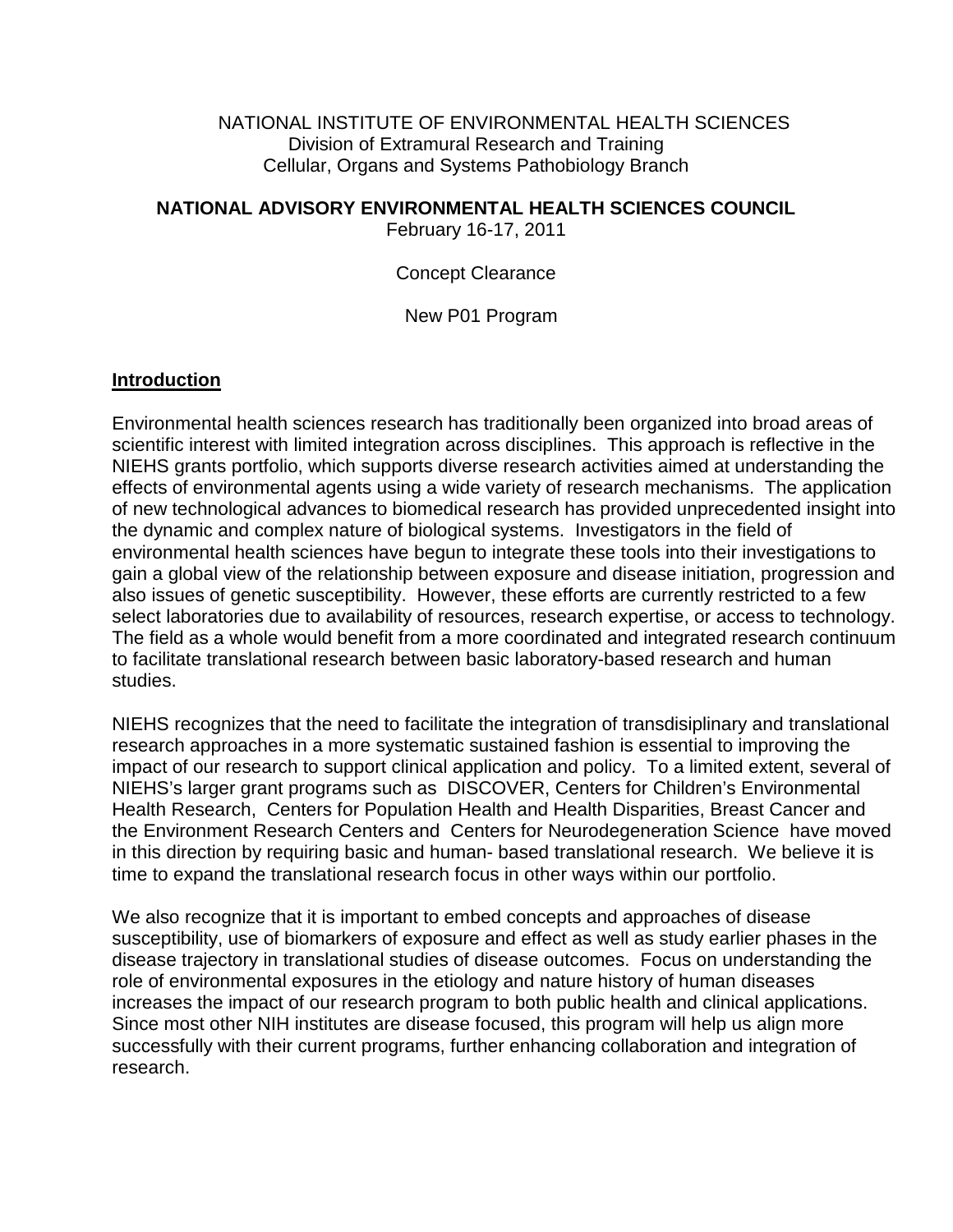NATIONAL INSTITUTE OF ENVIRONMENTAL HEALTH SCIENCES Division of Extramural Research and Training Cellular, Organs and Systems Pathobiology Branch

## **NATIONAL ADVISORY ENVIRONMENTAL HEALTH SCIENCES COUNCIL**

February 16-17, 2011

Concept Clearance

New P01 Program

## **Introduction**

Environmental health sciences research has traditionally been organized into broad areas of scientific interest with limited integration across disciplines. This approach is reflective in the NIEHS grants portfolio, which supports diverse research activities aimed at understanding the effects of environmental agents using a wide variety of research mechanisms. The application of new technological advances to biomedical research has provided unprecedented insight into the dynamic and complex nature of biological systems. Investigators in the field of environmental health sciences have begun to integrate these tools into their investigations to gain a global view of the relationship between exposure and disease initiation, progression and also issues of genetic susceptibility. However, these efforts are currently restricted to a few select laboratories due to availability of resources, research expertise, or access to technology. The field as a whole would benefit from a more coordinated and integrated research continuum to facilitate translational research between basic laboratory-based research and human studies.

NIEHS recognizes that the need to facilitate the integration of transdisiplinary and translational research approaches in a more systematic sustained fashion is essential to improving the impact of our research to support clinical application and policy. To a limited extent, several of NIEHS's larger grant programs such as DISCOVER, Centers for Children's Environmental Health Research, Centers for Population Health and Health Disparities, Breast Cancer and the Environment Research Centers and Centers for Neurodegeneration Science have moved in this direction by requiring basic and human- based translational research. We believe it is time to expand the translational research focus in other ways within our portfolio.

We also recognize that it is important to embed concepts and approaches of disease susceptibility, use of biomarkers of exposure and effect as well as study earlier phases in the disease trajectory in translational studies of disease outcomes. Focus on understanding the role of environmental exposures in the etiology and nature history of human diseases increases the impact of our research program to both public health and clinical applications. Since most other NIH institutes are disease focused, this program will help us align more successfully with their current programs, further enhancing collaboration and integration of research.